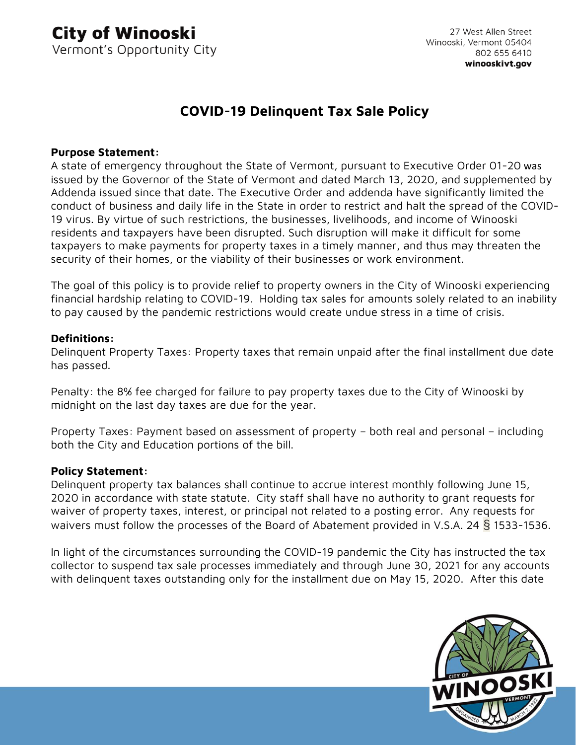# **COVID-19 Delinquent Tax Sale Policy**

# **Purpose Statement:**

A state of emergency throughout the State of Vermont, pursuant to Executive Order 01-20 was issued by the Governor of the State of Vermont and dated March 13, 2020, and supplemented by Addenda issued since that date. The Executive Order and addenda have significantly limited the conduct of business and daily life in the State in order to restrict and halt the spread of the COVID-19 virus. By virtue of such restrictions, the businesses, livelihoods, and income of Winooski residents and taxpayers have been disrupted. Such disruption will make it difficult for some taxpayers to make payments for property taxes in a timely manner, and thus may threaten the security of their homes, or the viability of their businesses or work environment.

The goal of this policy is to provide relief to property owners in the City of Winooski experiencing financial hardship relating to COVID-19. Holding tax sales for amounts solely related to an inability to pay caused by the pandemic restrictions would create undue stress in a time of crisis.

## **Definitions:**

Delinquent Property Taxes: Property taxes that remain unpaid after the final installment due date has passed.

Penalty: the 8% fee charged for failure to pay property taxes due to the City of Winooski by midnight on the last day taxes are due for the year.

Property Taxes: Payment based on assessment of property – both real and personal – including both the City and Education portions of the bill.

#### **Policy Statement:**

Delinquent property tax balances shall continue to accrue interest monthly following June 15, 2020 in accordance with state statute. City staff shall have no authority to grant requests for waiver of property taxes, interest, or principal not related to a posting error. Any requests for waivers must follow the processes of the Board of Abatement provided in V.S.A. 24 § 1533-1536.

In light of the circumstances surrounding the COVID-19 pandemic the City has instructed the tax collector to suspend tax sale processes immediately and through June 30, 2021 for any accounts with delinquent taxes outstanding only for the installment due on May 15, 2020. After this date